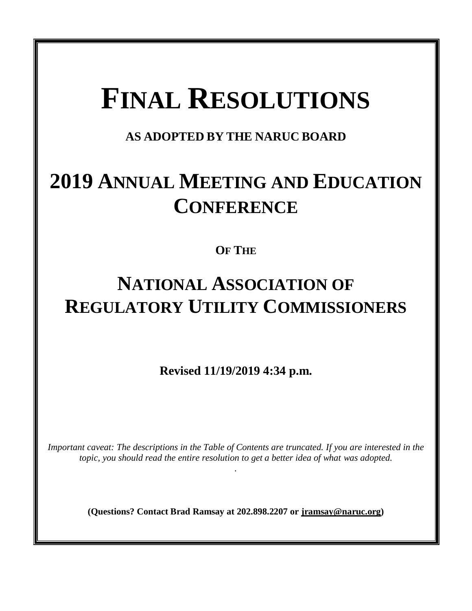# **FINAL RESOLUTIONS**

**AS ADOPTED BY THE NARUC BOARD**

# **2019 ANNUAL MEETING AND EDUCATION CONFERENCE**

### **OF THE**

## **NATIONAL ASSOCIATION OF REGULATORY UTILITY COMMISSIONERS**

**Revised 11/19/2019 4:34 p.m.**

*Important caveat: The descriptions in the Table of Contents are truncated. If you are interested in the topic, you should read the entire resolution to get a better idea of what was adopted.* 

*.* 

**(Questions? Contact Brad Ramsay at 202.898.2207 or [jramsay@naruc.org\)](mailto:jramsay@naruc.org)**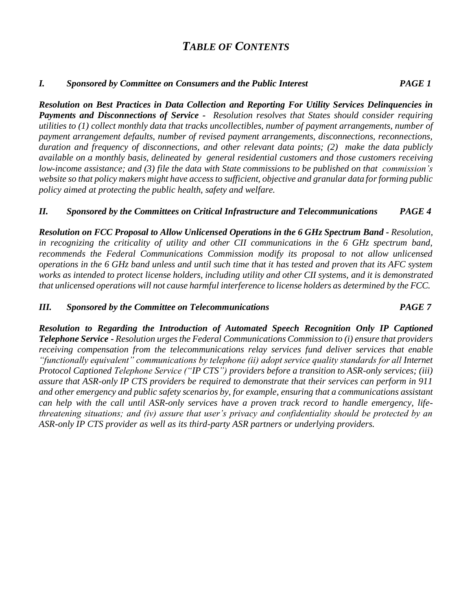### *TABLE OF CONTENTS*

#### *I. Sponsored by Committee on Consumers and the Public Interest PAGE 1*

*Resolution on Best Practices in Data Collection and Reporting For Utility Services Delinquencies in Payments and Disconnections of Service - Resolution resolves that States should consider requiring utilities to (1) collect monthly data that tracks uncollectibles, number of payment arrangements, number of payment arrangement defaults, number of revised payment arrangements, disconnections, reconnections, duration and frequency of disconnections, and other relevant data points; (2) make the data publicly available on a monthly basis, delineated by general residential customers and those customers receiving low-income assistance; and (3) file the data with State commissions to be published on that commission's website so that policy makers might have access to sufficient, objective and granular data for forming public policy aimed at protecting the public health, safety and welfare.*

#### *II. Sponsored by the Committees on Critical Infrastructure and Telecommunications PAGE 4*

*Resolution on FCC Proposal to Allow Unlicensed Operations in the 6 GHz Spectrum Band - Resolution, in recognizing the criticality of utility and other CII communications in the 6 GHz spectrum band, recommends the Federal Communications Commission modify its proposal to not allow unlicensed operations in the 6 GHz band unless and until such time that it has tested and proven that its AFC system works as intended to protect license holders, including utility and other CII systems, and it is demonstrated that unlicensed operations will not cause harmful interference to license holders as determined by the FCC.*

#### *III. Sponsored by the Committee on Telecommunications PAGE 7*

*Resolution to Regarding the Introduction of Automated Speech Recognition Only IP Captioned Telephone Service - Resolution urges the Federal Communications Commission to (i) ensure that providers receiving compensation from the telecommunications relay services fund deliver services that enable "functionally equivalent" communications by telephone (ii) adopt service quality standards for all Internet Protocol Captioned Telephone Service ("IP CTS") providers before a transition to ASR-only services; (iii) assure that ASR-only IP CTS providers be required to demonstrate that their services can perform in 911 and other emergency and public safety scenarios by, for example, ensuring that a communications assistant can help with the call until ASR-only services have a proven track record to handle emergency, lifethreatening situations; and (iv) assure that user's privacy and confidentiality should be protected by an ASR-only IP CTS provider as well as its third-party ASR partners or underlying providers.*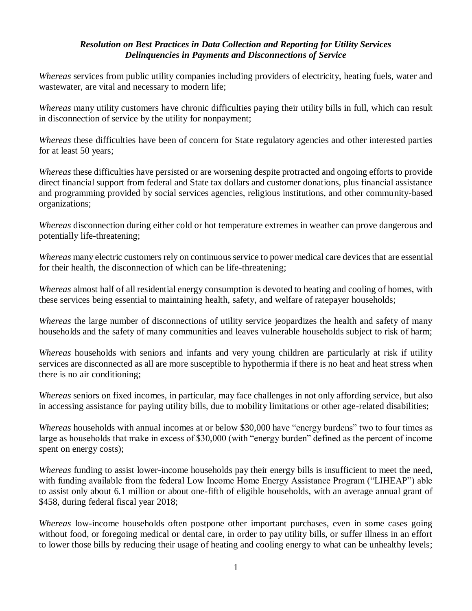#### *Resolution on Best Practices in Data Collection and Reporting for Utility Services Delinquencies in Payments and Disconnections of Service*

*Whereas* services from public utility companies including providers of electricity, heating fuels, water and wastewater, are vital and necessary to modern life;

*Whereas* many utility customers have chronic difficulties paying their utility bills in full, which can result in disconnection of service by the utility for nonpayment;

*Whereas* these difficulties have been of concern for State regulatory agencies and other interested parties for at least 50 years;

*Whereas* these difficulties have persisted or are worsening despite protracted and ongoing efforts to provide direct financial support from federal and State tax dollars and customer donations, plus financial assistance and programming provided by social services agencies, religious institutions, and other community-based organizations;

*Whereas* disconnection during either cold or hot temperature extremes in weather can prove dangerous and potentially life-threatening;

*Whereas* many electric customers rely on continuous service to power medical care devices that are essential for their health, the disconnection of which can be life-threatening;

*Whereas* almost half of all residential energy consumption is devoted to heating and cooling of homes, with these services being essential to maintaining health, safety, and welfare of ratepayer households;

*Whereas* the large number of disconnections of utility service jeopardizes the health and safety of many households and the safety of many communities and leaves vulnerable households subject to risk of harm;

*Whereas* households with seniors and infants and very young children are particularly at risk if utility services are disconnected as all are more susceptible to hypothermia if there is no heat and heat stress when there is no air conditioning;

*Whereas* seniors on fixed incomes, in particular, may face challenges in not only affording service, but also in accessing assistance for paying utility bills, due to mobility limitations or other age-related disabilities;

*Whereas* households with annual incomes at or below \$30,000 have "energy burdens" two to four times as large as households that make in excess of \$30,000 (with "energy burden" defined as the percent of income spent on energy costs);

*Whereas* funding to assist lower-income households pay their energy bills is insufficient to meet the need, with funding available from the federal Low Income Home Energy Assistance Program ("LIHEAP") able to assist only about 6.1 million or about one-fifth of eligible households, with an average annual grant of \$458, during federal fiscal year 2018;

*Whereas* low-income households often postpone other important purchases, even in some cases going without food, or foregoing medical or dental care, in order to pay utility bills, or suffer illness in an effort to lower those bills by reducing their usage of heating and cooling energy to what can be unhealthy levels;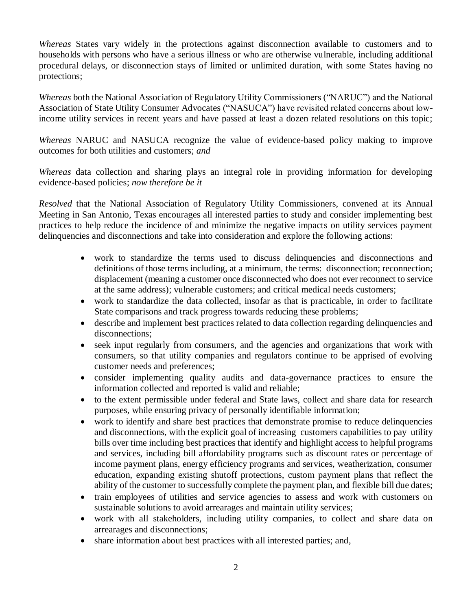*Whereas* States vary widely in the protections against disconnection available to customers and to households with persons who have a serious illness or who are otherwise vulnerable, including additional procedural delays, or disconnection stays of limited or unlimited duration, with some States having no protections;

*Whereas* both the National Association of Regulatory Utility Commissioners ("NARUC") and the National Association of State Utility Consumer Advocates ("NASUCA") have revisited related concerns about lowincome utility services in recent years and have passed at least a dozen related resolutions on this topic;

*Whereas* NARUC and NASUCA recognize the value of evidence-based policy making to improve outcomes for both utilities and customers; *and*

*Whereas* data collection and sharing plays an integral role in providing information for developing evidence-based policies; *now therefore be it*

*Resolved* that the National Association of Regulatory Utility Commissioners, convened at its Annual Meeting in San Antonio, Texas encourages all interested parties to study and consider implementing best practices to help reduce the incidence of and minimize the negative impacts on utility services payment delinquencies and disconnections and take into consideration and explore the following actions:

- work to standardize the terms used to discuss delinquencies and disconnections and definitions of those terms including, at a minimum, the terms: disconnection; reconnection; displacement (meaning a customer once disconnected who does not ever reconnect to service at the same address); vulnerable customers; and critical medical needs customers;
- work to standardize the data collected, insofar as that is practicable, in order to facilitate State comparisons and track progress towards reducing these problems;
- describe and implement best practices related to data collection regarding delinquencies and disconnections;
- seek input regularly from consumers, and the agencies and organizations that work with consumers, so that utility companies and regulators continue to be apprised of evolving customer needs and preferences;
- consider implementing quality audits and data-governance practices to ensure the information collected and reported is valid and reliable;
- to the extent permissible under federal and State laws, collect and share data for research purposes, while ensuring privacy of personally identifiable information;
- work to identify and share best practices that demonstrate promise to reduce delinquencies and disconnections, with the explicit goal of increasing customers capabilities to pay utility bills over time including best practices that identify and highlight access to helpful programs and services, including bill affordability programs such as discount rates or percentage of income payment plans, energy efficiency programs and services, weatherization, consumer education, expanding existing shutoff protections, custom payment plans that reflect the ability of the customer to successfully complete the payment plan, and flexible bill due dates;
- train employees of utilities and service agencies to assess and work with customers on sustainable solutions to avoid arrearages and maintain utility services;
- work with all stakeholders, including utility companies, to collect and share data on arrearages and disconnections;
- share information about best practices with all interested parties; and,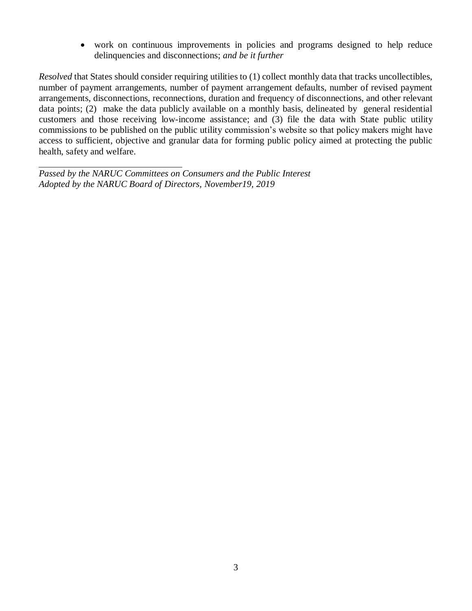work on continuous improvements in policies and programs designed to help reduce delinquencies and disconnections; *and be it further*

*Resolved* that States should consider requiring utilities to (1) collect monthly data that tracks uncollectibles, number of payment arrangements, number of payment arrangement defaults, number of revised payment arrangements, disconnections, reconnections, duration and frequency of disconnections, and other relevant data points; (2) make the data publicly available on a monthly basis, delineated by general residential customers and those receiving low-income assistance; and (3) file the data with State public utility commissions to be published on the public utility commission's website so that policy makers might have access to sufficient, objective and granular data for forming public policy aimed at protecting the public health, safety and welfare.

*Passed by the NARUC Committees on Consumers and the Public Interest Adopted by the NARUC Board of Directors, November19, 2019*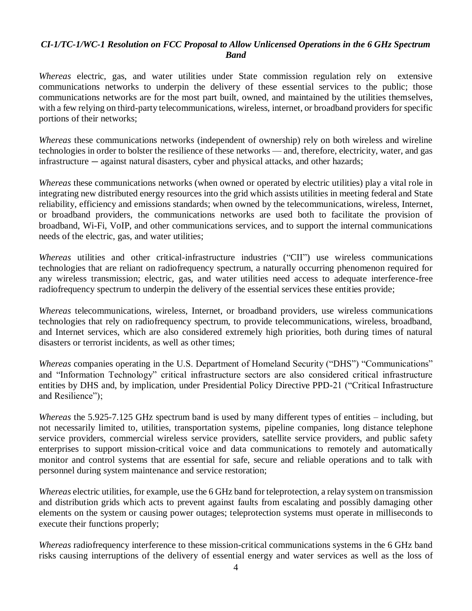#### *CI-1/TC-1/WC-1 Resolution on FCC Proposal to Allow Unlicensed Operations in the 6 GHz Spectrum Band*

*Whereas* electric, gas, and water utilities under State commission regulation rely on extensive communications networks to underpin the delivery of these essential services to the public; those communications networks are for the most part built, owned, and maintained by the utilities themselves, with a few relying on third-party telecommunications, wireless, internet, or broadband providers for specific portions of their networks;

*Whereas* these communications networks (independent of ownership) rely on both wireless and wireline technologies in order to bolster the resilience of these networks — and, therefore, electricity, water, and gas infrastructure — against natural disasters, cyber and physical attacks, and other hazards;

*Whereas* these communications networks (when owned or operated by electric utilities) play a vital role in integrating new distributed energy resources into the grid which assists utilities in meeting federal and State reliability, efficiency and emissions standards; when owned by the telecommunications, wireless, Internet, or broadband providers, the communications networks are used both to facilitate the provision of broadband, Wi-Fi, VoIP, and other communications services, and to support the internal communications needs of the electric, gas, and water utilities;

*Whereas* utilities and other critical-infrastructure industries ("CII") use wireless communications technologies that are reliant on radiofrequency spectrum, a naturally occurring phenomenon required for any wireless transmission; electric, gas, and water utilities need access to adequate interference-free radiofrequency spectrum to underpin the delivery of the essential services these entities provide;

*Whereas* telecommunications, wireless, Internet, or broadband providers, use wireless communications technologies that rely on radiofrequency spectrum, to provide telecommunications, wireless, broadband, and Internet services, which are also considered extremely high priorities, both during times of natural disasters or terrorist incidents, as well as other times;

*Whereas* companies operating in the U.S. Department of Homeland Security ("DHS") "Communications" and "Information Technology" critical infrastructure sectors are also considered critical infrastructure entities by DHS and, by implication, under Presidential Policy Directive PPD-21 ("Critical Infrastructure and Resilience");

*Whereas* the 5.925-7.125 GHz spectrum band is used by many different types of entities – including, but not necessarily limited to, utilities, transportation systems, pipeline companies, long distance telephone service providers, commercial wireless service providers, satellite service providers, and public safety enterprises to support mission-critical voice and data communications to remotely and automatically monitor and control systems that are essential for safe, secure and reliable operations and to talk with personnel during system maintenance and service restoration;

*Whereas* electric utilities, for example, use the 6 GHz band for teleprotection, a relay system on transmission and distribution grids which acts to prevent against faults from escalating and possibly damaging other elements on the system or causing power outages; teleprotection systems must operate in milliseconds to execute their functions properly;

*Whereas* radiofrequency interference to these mission-critical communications systems in the 6 GHz band risks causing interruptions of the delivery of essential energy and water services as well as the loss of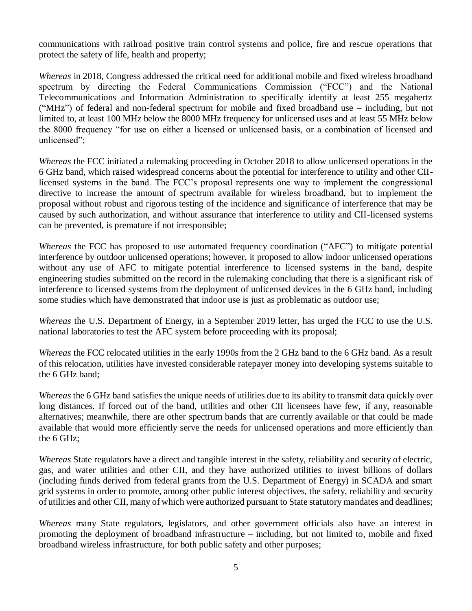communications with railroad positive train control systems and police, fire and rescue operations that protect the safety of life, health and property;

*Whereas* in 2018, Congress addressed the critical need for additional mobile and fixed wireless broadband spectrum by directing the Federal Communications Commission ("FCC") and the National Telecommunications and Information Administration to specifically identify at least 255 megahertz ("MHz") of federal and non-federal spectrum for mobile and fixed broadband use – including, but not limited to, at least 100 MHz below the 8000 MHz frequency for unlicensed uses and at least 55 MHz below the 8000 frequency "for use on either a licensed or unlicensed basis, or a combination of licensed and unlicensed";

*Whereas* the FCC initiated a rulemaking proceeding in October 2018 to allow unlicensed operations in the 6 GHz band, which raised widespread concerns about the potential for interference to utility and other CIIlicensed systems in the band. The FCC's proposal represents one way to implement the congressional directive to increase the amount of spectrum available for wireless broadband, but to implement the proposal without robust and rigorous testing of the incidence and significance of interference that may be caused by such authorization, and without assurance that interference to utility and CII-licensed systems can be prevented, is premature if not irresponsible;

*Whereas* the FCC has proposed to use automated frequency coordination ("AFC") to mitigate potential interference by outdoor unlicensed operations; however, it proposed to allow indoor unlicensed operations without any use of AFC to mitigate potential interference to licensed systems in the band, despite engineering studies submitted on the record in the rulemaking concluding that there is a significant risk of interference to licensed systems from the deployment of unlicensed devices in the 6 GHz band, including some studies which have demonstrated that indoor use is just as problematic as outdoor use;

*Whereas* the U.S. Department of Energy, in a September 2019 letter, has urged the FCC to use the U.S. national laboratories to test the AFC system before proceeding with its proposal;

*Whereas* the FCC relocated utilities in the early 1990s from the 2 GHz band to the 6 GHz band. As a result of this relocation, utilities have invested considerable ratepayer money into developing systems suitable to the 6 GHz band;

*Whereas* the 6 GHz band satisfies the unique needs of utilities due to its ability to transmit data quickly over long distances. If forced out of the band, utilities and other CII licensees have few, if any, reasonable alternatives; meanwhile, there are other spectrum bands that are currently available or that could be made available that would more efficiently serve the needs for unlicensed operations and more efficiently than the 6 GHz;

*Whereas* State regulators have a direct and tangible interest in the safety, reliability and security of electric, gas, and water utilities and other CII, and they have authorized utilities to invest billions of dollars (including funds derived from federal grants from the U.S. Department of Energy) in SCADA and smart grid systems in order to promote, among other public interest objectives, the safety, reliability and security of utilities and other CII, many of which were authorized pursuant to State statutory mandates and deadlines;

*Whereas* many State regulators, legislators, and other government officials also have an interest in promoting the deployment of broadband infrastructure – including, but not limited to, mobile and fixed broadband wireless infrastructure, for both public safety and other purposes;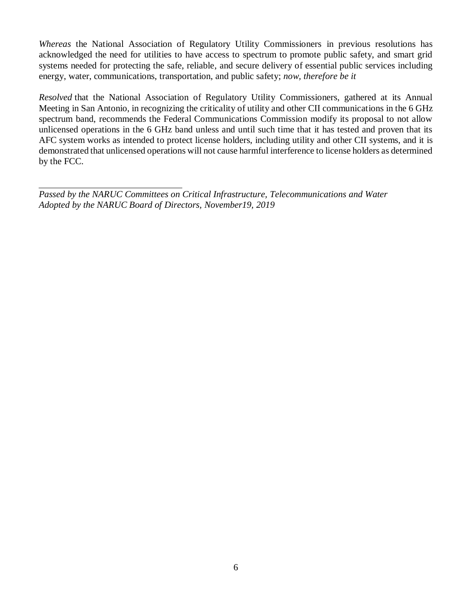*Whereas* the National Association of Regulatory Utility Commissioners in previous resolutions has acknowledged the need for utilities to have access to spectrum to promote public safety, and smart grid systems needed for protecting the safe, reliable, and secure delivery of essential public services including energy, water, communications, transportation, and public safety; *now, therefore be it*

*Resolved* that the National Association of Regulatory Utility Commissioners, gathered at its Annual Meeting in San Antonio, in recognizing the criticality of utility and other CII communications in the 6 GHz spectrum band, recommends the Federal Communications Commission modify its proposal to not allow unlicensed operations in the 6 GHz band unless and until such time that it has tested and proven that its AFC system works as intended to protect license holders, including utility and other CII systems, and it is demonstrated that unlicensed operations will not cause harmful interference to license holders as determined by the FCC.

*Passed by the NARUC Committees on Critical Infrastructure, Telecommunications and Water Adopted by the NARUC Board of Directors, November19, 2019*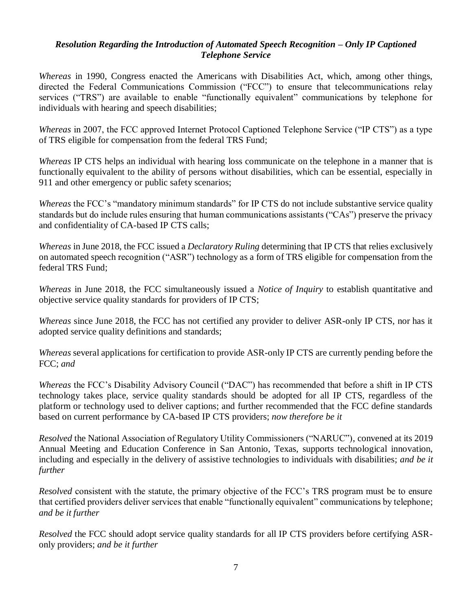#### *Resolution Regarding the Introduction of Automated Speech Recognition – Only IP Captioned Telephone Service*

*Whereas* in 1990, Congress enacted the Americans with Disabilities Act, which, among other things, directed the Federal Communications Commission ("FCC") to ensure that telecommunications relay services ("TRS") are available to enable "functionally equivalent" communications by telephone for individuals with hearing and speech disabilities;

*Whereas* in 2007, the FCC approved Internet Protocol Captioned Telephone Service ("IP CTS") as a type of TRS eligible for compensation from the federal TRS Fund;

*Whereas* IP CTS helps an individual with hearing loss communicate on the telephone in a manner that is functionally equivalent to the ability of persons without disabilities, which can be essential, especially in 911 and other emergency or public safety scenarios;

*Whereas* the FCC's "mandatory minimum standards" for IP CTS do not include substantive service quality standards but do include rules ensuring that human communications assistants ("CAs") preserve the privacy and confidentiality of CA-based IP CTS calls;

*Whereas* in June 2018, the FCC issued a *Declaratory Ruling* determining that IP CTS that relies exclusively on automated speech recognition ("ASR") technology as a form of TRS eligible for compensation from the federal TRS Fund;

*Whereas* in June 2018, the FCC simultaneously issued a *Notice of Inquiry* to establish quantitative and objective service quality standards for providers of IP CTS;

*Whereas* since June 2018, the FCC has not certified any provider to deliver ASR-only IP CTS, nor has it adopted service quality definitions and standards;

*Whereas* several applications for certification to provide ASR-only IP CTS are currently pending before the FCC; *and*

*Whereas* the FCC's Disability Advisory Council ("DAC") has recommended that before a shift in IP CTS technology takes place, service quality standards should be adopted for all IP CTS, regardless of the platform or technology used to deliver captions; and further recommended that the FCC define standards based on current performance by CA-based IP CTS providers; *now therefore be it*

*Resolved* the National Association of Regulatory Utility Commissioners ("NARUC"), convened at its 2019 Annual Meeting and Education Conference in San Antonio, Texas, supports technological innovation, including and especially in the delivery of assistive technologies to individuals with disabilities; *and be it further* 

*Resolved* consistent with the statute, the primary objective of the FCC's TRS program must be to ensure that certified providers deliver services that enable "functionally equivalent" communications by telephone; *and be it further* 

*Resolved* the FCC should adopt service quality standards for all IP CTS providers before certifying ASRonly providers; *and be it further*